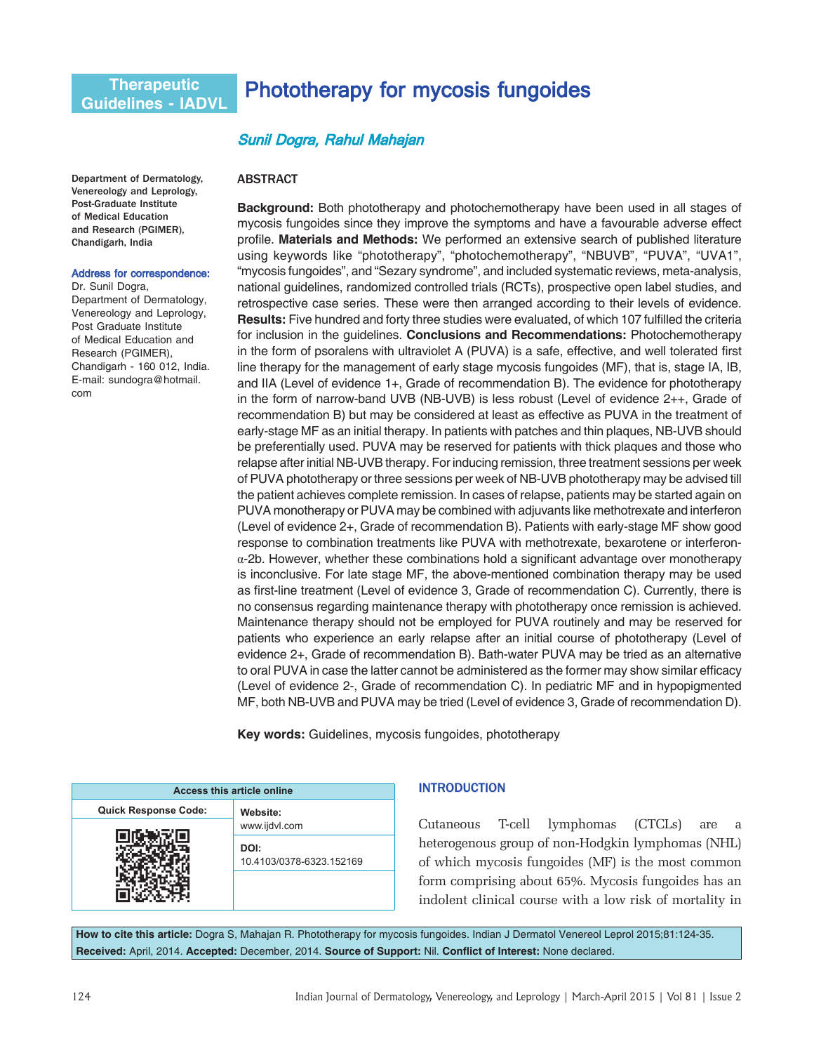# **Therapeutic**

# **Therapeutic Phototherapy for mycosis fungoides**<br>Guidelines - IADVL

# Sunil Dogra, Rahul Mahajan

# ABSTRACT

**Background:** Both phototherapy and photochemotherapy have been used in all stages of mycosis fungoides since they improve the symptoms and have a favourable adverse effect profile. Materials and Methods: We performed an extensive search of published literature using keywords like "phototherapy", "photochemotherapy", "NBUVB", "PUVA", "UVA1", "mycosis fungoides", and "Sezary syndrome", and included systematic reviews, meta-analysis, national guidelines, randomized controlled trials (RCTs), prospective open label studies, and retrospective case series. These were then arranged according to their levels of evidence. **Results:** Five hundred and forty three studies were evaluated, of which 107 fulfilled the criteria for inclusion in the guidelines. **Conclusions and Recommendations:** Photochemotherapy in the form of psoralens with ultraviolet A (PUVA) is a safe, effective, and well tolerated first line therapy for the management of early stage mycosis fungoides (MF), that is, stage IA, IB, and IIA (Level of evidence 1+, Grade of recommendation B). The evidence for phototherapy in the form of narrow-band UVB (NB-UVB) is less robust (Level of evidence 2++, Grade of recommendation B) but may be considered at least as effective as PUVA in the treatment of early-stage MF as an initial therapy. In patients with patches and thin plaques, NB-UVB should be preferentially used. PUVA may be reserved for patients with thick plaques and those who relapse after initial NB-UVB therapy. For inducing remission, three treatment sessions per week of PUVA phototherapy or three sessions per week of NB-UVB phototherapy may be advised till the patient achieves complete remission. In cases of relapse, patients may be started again on PUVA monotherapy or PUVA may be combined with adjuvants like methotrexate and interferon (Level of evidence 2+, Grade of recommendation B). Patients with early-stage MF show good response to combination treatments like PUVA with methotrexate, bexarotene or interferon- $\alpha$ -2b. However, whether these combinations hold a significant advantage over monotherapy is inconclusive. For late stage MF, the above-mentioned combination therapy may be used as first-line treatment (Level of evidence 3, Grade of recommendation C). Currently, there is no consensus regarding maintenance therapy with phototherapy once remission is achieved. Maintenance therapy should not be employed for PUVA routinely and may be reserved for patients who experience an early relapse after an initial course of phototherapy (Level of evidence 2+, Grade of recommendation B). Bath-water PUVA may be tried as an alternative to oral PUVA in case the latter cannot be administered as the former may show similar efficacy (Level of evidence 2-, Grade of recommendation C). In pediatric MF and in hypopigmented MF, both NB-UVB and PUVA may be tried (Level of evidence 3, Grade of recommendation D).

**Key words:** Guidelines, mycosis fungoides, phototherapy

| <b>Access this article online</b> |                          |  |  |  |  |  |  |  |
|-----------------------------------|--------------------------|--|--|--|--|--|--|--|
| <b>Quick Response Code:</b>       | Website:                 |  |  |  |  |  |  |  |
|                                   | www.ijdvl.com<br>DOI:    |  |  |  |  |  |  |  |
|                                   | 10.4103/0378-6323.152169 |  |  |  |  |  |  |  |
|                                   |                          |  |  |  |  |  |  |  |

# **INTRODUCTION**

Cutaneous T-cell lymphomas (CTCLs) are a heterogenous group of non-Hodgkin lymphomas (NHL) of which mycosis fungoides (MF) is the most common form comprising about 65%. Mycosis fungoides has an indolent clinical course with a low risk of mortality in

**How to cite this article:** Dogra S, Mahajan R. Phototherapy for mycosis fungoides. Indian J Dermatol Venereol Leprol 2015;81:124-35. **Received:** April, 2014. **Accepted:** December, 2014. **Source of Support:** Nil. **Confl ict of Interest:** None declared.

Department of Dermatology, Venereology and Leprology, Post-Graduate Institute of Medical Education and Research (PGIMER), Chandigarh, India

#### Address for correspondence:

Dr. Sunil Dogra, Department of Dermatology, Venereology and Leprology, Post Graduate Institute of Medical Education and Research (PGIMER), Chandigarh - 160 012, India. E-mail: sundogra@hotmail. com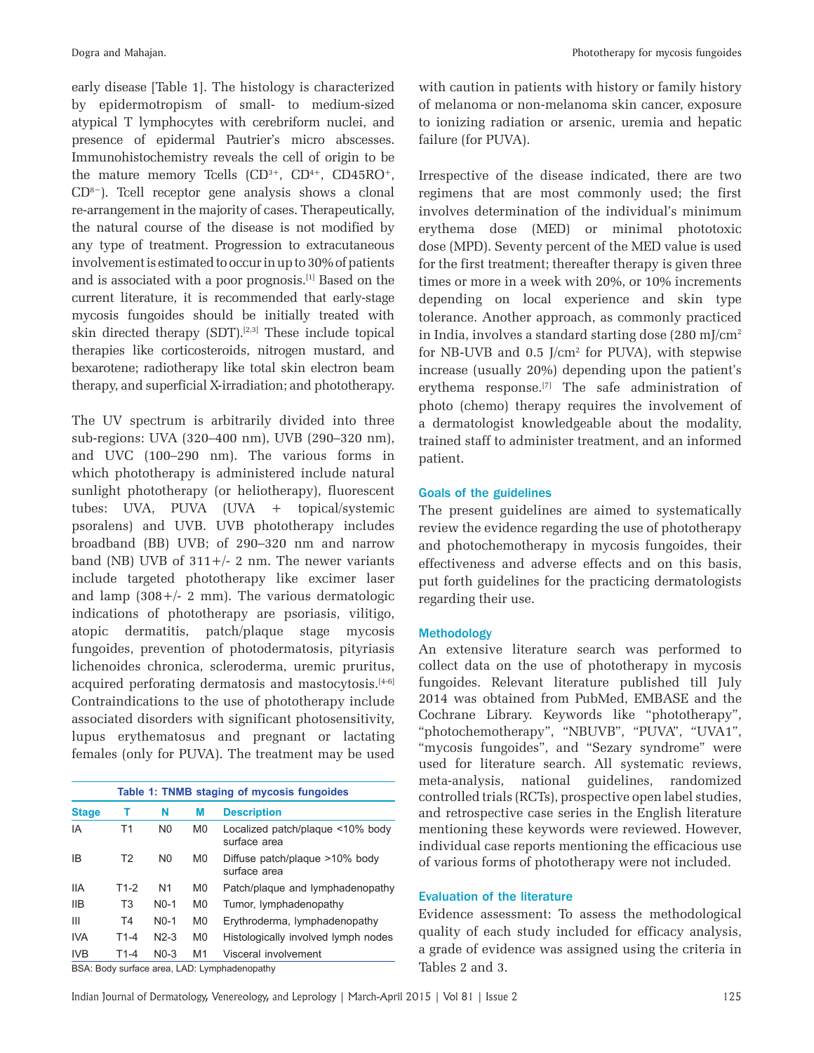early disease [Table 1]. The histology is characterized by epidermotropism of small- to medium-sized atypical T lymphocytes with cerebriform nuclei, and presence of epidermal Pautrier's micro abscesses. Immunohistochemistry reveals the cell of origin to be the mature memory Tcells  $(CD^{3+}, CD^{4+}, CD45RO^{+},$ CD8−). Tcell receptor gene analysis shows a clonal re-arrangement in the majority of cases. Therapeutically, the natural course of the disease is not modified by any type of treatment. Progression to extracutaneous involvement is estimated to occur in up to 30% of patients and is associated with a poor prognosis.[1] Based on the current literature, it is recommended that early-stage mycosis fungoides should be initially treated with skin directed therapy (SDT).<sup>[2,3]</sup> These include topical therapies like corticosteroids, nitrogen mustard, and bexarotene; radiotherapy like total skin electron beam therapy, and superficial X-irradiation; and phototherapy.

The UV spectrum is arbitrarily divided into three sub-regions: UVA (320–400 nm), UVB (290–320 nm), and UVC (100–290 nm). The various forms in which phototherapy is administered include natural sunlight phototherapy (or heliotherapy), fluorescent tubes: UVA, PUVA (UVA + topical/systemic psoralens) and UVB. UVB phototherapy includes broadband (BB) UVB; of 290–320 nm and narrow band (NB) UVB of  $311+/- 2$  nm. The newer variants include targeted phototherapy like excimer laser and lamp  $(308+/2$  mm). The various dermatologic indications of phototherapy are psoriasis, vilitigo, atopic dermatitis, patch/plaque stage mycosis fungoides, prevention of photodermatosis, pityriasis lichenoides chronica, scleroderma, uremic pruritus, acquired perforating dermatosis and mastocytosis.[4-6] Contraindications to the use of phototherapy include associated disorders with significant photosensitivity, lupus erythematosus and pregnant or lactating females (only for PUVA). The treatment may be used

| Table 1: TNMB staging of mycosis fungoides |                |                |                |                                                  |  |  |  |  |  |
|--------------------------------------------|----------------|----------------|----------------|--------------------------------------------------|--|--|--|--|--|
| <b>Stage</b>                               | т              | N              | М              | <b>Description</b>                               |  |  |  |  |  |
| IA                                         | T <sub>1</sub> | N <sub>0</sub> | M <sub>0</sub> | Localized patch/plaque <10% body<br>surface area |  |  |  |  |  |
| IB                                         | T <sub>2</sub> | N <sub>0</sub> | M <sub>0</sub> | Diffuse patch/plaque >10% body<br>surface area   |  |  |  |  |  |
| <b>IIA</b>                                 | $T1-2$         | N1             | M <sub>0</sub> | Patch/plaque and lymphadenopathy                 |  |  |  |  |  |
| <b>IIB</b>                                 | T <sub>3</sub> | $N0-1$         | M <sub>0</sub> | Tumor, lymphadenopathy                           |  |  |  |  |  |
| Ш                                          | T <sub>4</sub> | $N0-1$         | M <sub>0</sub> | Erythroderma, lymphadenopathy                    |  |  |  |  |  |
| <b>IVA</b>                                 | $T1-4$         | $N2-3$         | M <sub>0</sub> | Histologically involved lymph nodes              |  |  |  |  |  |
| <b>IVB</b>                                 | $T1-4$         | $N0-3$         | M <sub>1</sub> | Visceral involvement                             |  |  |  |  |  |

with caution in patients with history or family history of melanoma or non-melanoma skin cancer, exposure to ionizing radiation or arsenic, uremia and hepatic failure (for PUVA).

Irrespective of the disease indicated, there are two regimens that are most commonly used; the first involves determination of the individual's minimum erythema dose (MED) or minimal phototoxic dose (MPD). Seventy percent of the MED value is used for the first treatment; thereafter therapy is given three times or more in a week with 20%, or 10% increments depending on local experience and skin type tolerance. Another approach, as commonly practiced in India, involves a standard starting dose  $(280 \text{ m})/\text{cm}^2$ for NB-UVB and 0.5 J/cm2 for PUVA), with stepwise increase (usually 20%) depending upon the patient's erythema response.[7] The safe administration of photo (chemo) therapy requires the involvement of a dermatologist knowledgeable about the modality, trained staff to administer treatment, and an informed patient.

# Goals of the guidelines

The present guidelines are aimed to systematically review the evidence regarding the use of phototherapy and photochemotherapy in mycosis fungoides, their effectiveness and adverse effects and on this basis, put forth guidelines for the practicing dermatologists regarding their use.

# Methodology

An extensive literature search was performed to collect data on the use of phototherapy in mycosis fungoides. Relevant literature published till July 2014 was obtained from PubMed, EMBASE and the Cochrane Library. Keywords like "phototherapy", "photochemotherapy", "NBUVB", "PUVA", "UVA1", "mycosis fungoides", and "Sezary syndrome" were used for literature search. All systematic reviews, meta-analysis, national guidelines, randomized controlled trials (RCTs), prospective open label studies, and retrospective case series in the English literature mentioning these keywords were reviewed. However, individual case reports mentioning the efficacious use of various forms of phototherapy were not included.

# Evaluation of the literature

Evidence assessment: To assess the methodological quality of each study included for efficacy analysis, a grade of evidence was assigned using the criteria in Tables 2 and 3.

BSA: Body surface area, LAD: Lymphadenopathy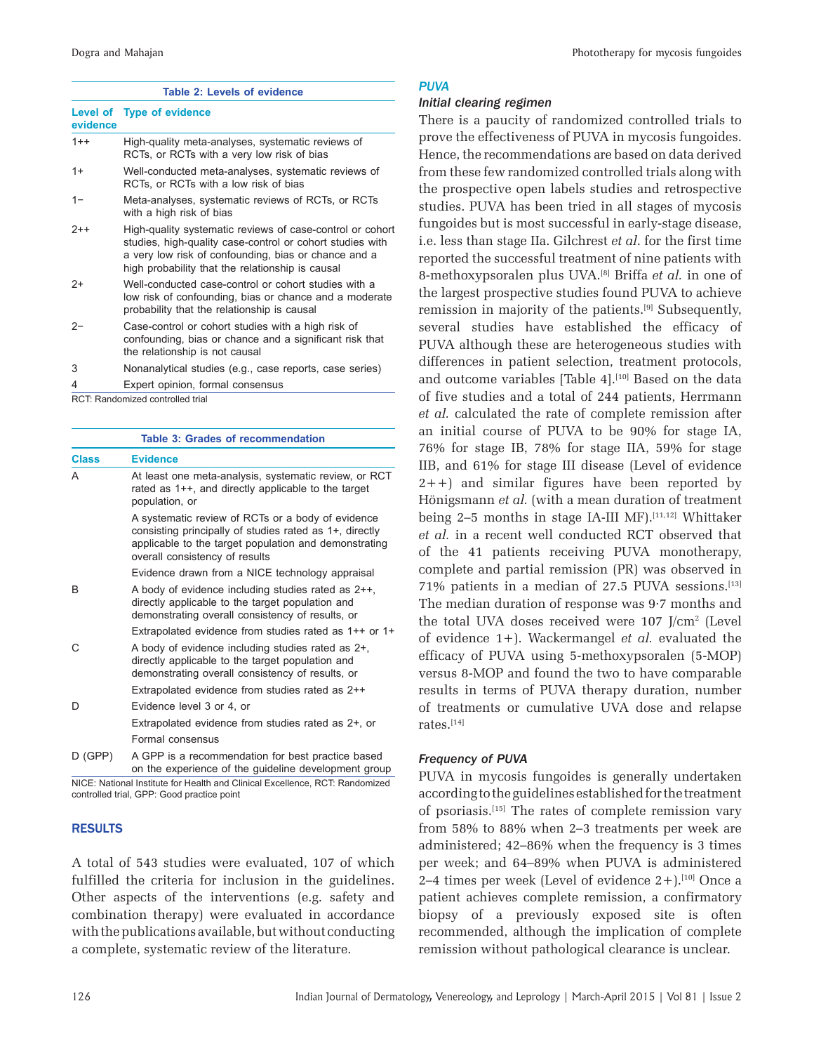| <b>Table 2: Levels of evidence</b> |                                                                                                                                                                                                                                    |  |  |  |  |  |
|------------------------------------|------------------------------------------------------------------------------------------------------------------------------------------------------------------------------------------------------------------------------------|--|--|--|--|--|
| evidence                           | Level of Type of evidence                                                                                                                                                                                                          |  |  |  |  |  |
| $1 + +$                            | High-quality meta-analyses, systematic reviews of<br>RCTs, or RCTs with a very low risk of bias                                                                                                                                    |  |  |  |  |  |
| $1+$                               | Well-conducted meta-analyses, systematic reviews of<br>RCTs, or RCTs with a low risk of bias                                                                                                                                       |  |  |  |  |  |
| $1 -$                              | Meta-analyses, systematic reviews of RCTs, or RCTs<br>with a high risk of bias                                                                                                                                                     |  |  |  |  |  |
| $2++$                              | High-quality systematic reviews of case-control or cohort<br>studies, high-quality case-control or cohort studies with<br>a very low risk of confounding, bias or chance and a<br>high probability that the relationship is causal |  |  |  |  |  |
| $2+$                               | Well-conducted case-control or cohort studies with a<br>low risk of confounding, bias or chance and a moderate<br>probability that the relationship is causal                                                                      |  |  |  |  |  |
| $2-$                               | Case-control or cohort studies with a high risk of<br>confounding, bias or chance and a significant risk that<br>the relationship is not causal                                                                                    |  |  |  |  |  |
| 3                                  | Nonanalytical studies (e.g., case reports, case series)                                                                                                                                                                            |  |  |  |  |  |
|                                    | .                                                                                                                                                                                                                                  |  |  |  |  |  |

Expert opinion, formal consensus

RCT: Randomized controlled trial

|              | <b>Table 3: Grades of recommendation</b>                                                                                                                                                                |
|--------------|---------------------------------------------------------------------------------------------------------------------------------------------------------------------------------------------------------|
| <b>Class</b> | <b>Evidence</b>                                                                                                                                                                                         |
| A            | At least one meta-analysis, systematic review, or RCT<br>rated as 1++, and directly applicable to the target<br>population, or                                                                          |
|              | A systematic review of RCTs or a body of evidence<br>consisting principally of studies rated as 1+, directly<br>applicable to the target population and demonstrating<br>overall consistency of results |
|              | Evidence drawn from a NICE technology appraisal                                                                                                                                                         |
| B            | A body of evidence including studies rated as 2++,<br>directly applicable to the target population and<br>demonstrating overall consistency of results, or                                              |
|              | Extrapolated evidence from studies rated as 1++ or 1+                                                                                                                                                   |
| C            | A body of evidence including studies rated as 2+,<br>directly applicable to the target population and<br>demonstrating overall consistency of results, or                                               |
|              | Extrapolated evidence from studies rated as 2++                                                                                                                                                         |
| D            | Evidence level 3 or 4, or                                                                                                                                                                               |
|              | Extrapolated evidence from studies rated as 2+, or                                                                                                                                                      |
|              | Formal consensus                                                                                                                                                                                        |
| D (GPP)      | A GPP is a recommendation for best practice based                                                                                                                                                       |

on the experience of the guideline development group NICE: National Institute for Health and Clinical Excellence, RCT: Randomized controlled trial, GPP: Good practice point

#### RESULTS

A total of 543 studies were evaluated, 107 of which fulfilled the criteria for inclusion in the guidelines. Other aspects of the interventions (e.g. safety and combination therapy) were evaluated in accordance with the publications available, but without conducting a complete, systematic review of the literature.

# *PUVA*

# *Initial clearing regimen*

There is a paucity of randomized controlled trials to prove the effectiveness of PUVA in mycosis fungoides. Hence, the recommendations are based on data derived from these few randomized controlled trials along with the prospective open labels studies and retrospective studies. PUVA has been tried in all stages of mycosis fungoides but is most successful in early-stage disease, i.e. less than stage IIa. Gilchrest *et al*. for the first time reported the successful treatment of nine patients with 8-methoxypsoralen plus UVA.[8] Briffa *et al.* in one of the largest prospective studies found PUVA to achieve remission in majority of the patients.[9] Subsequently, several studies have established the efficacy of PUVA although these are heterogeneous studies with differences in patient selection, treatment protocols, and outcome variables [Table 4].<sup>[10]</sup> Based on the data of five studies and a total of 244 patients, Herrmann *et al.* calculated the rate of complete remission after an initial course of PUVA to be 90% for stage IA, 76% for stage IB, 78% for stage IIA, 59% for stage IIB, and 61% for stage III disease (Level of evidence 2++) and similar figures have been reported by Hönigsmann *et al.* (with a mean duration of treatment being 2–5 months in stage IA-III MF). $[11,12]$  Whittaker *et al.* in a recent well conducted RCT observed that of the 41 patients receiving PUVA monotherapy, complete and partial remission (PR) was observed in 71% patients in a median of 27.5 PUVA sessions.[13] The median duration of response was 9·7 months and the total UVA doses received were 107 J/cm2 (Level of evidence 1+). Wackermangel *et al.* evaluated the efficacy of PUVA using 5-methoxypsoralen (5-MOP) versus 8-MOP and found the two to have comparable results in terms of PUVA therapy duration, number of treatments or cumulative UVA dose and relapse rates.[14]

# *Frequency of PUVA*

PUVA in mycosis fungoides is generally undertaken according to the guidelines established for the treatment of psoriasis.[15] The rates of complete remission vary from 58% to 88% when 2–3 treatments per week are administered; 42–86% when the frequency is 3 times per week; and 64–89% when PUVA is administered 2–4 times per week (Level of evidence  $2+$ ).<sup>[10]</sup> Once a patient achieves complete remission, a confirmatory biopsy of a previously exposed site is often recommended, although the implication of complete remission without pathological clearance is unclear.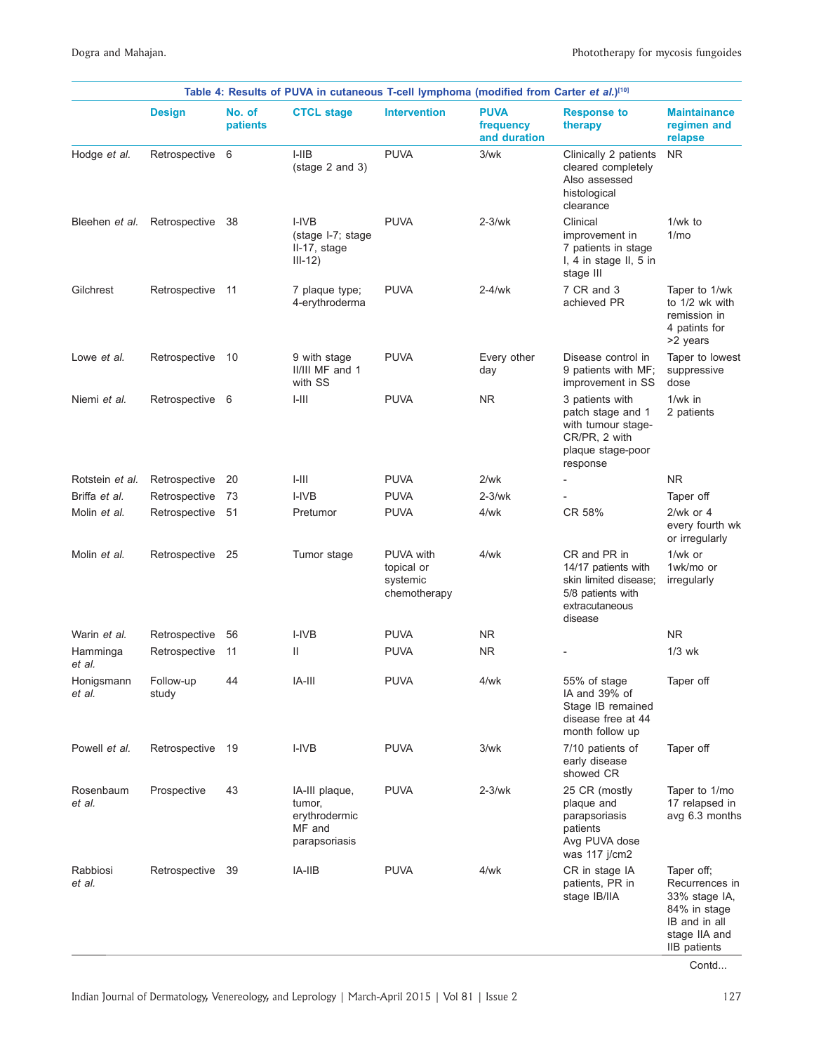|                      | <b>Design</b>      | No. of   | <b>CTCL stage</b>                                                    | <b>Intervention</b>                                 | <b>PUVA</b>               | <b>Response to</b>                                                                                             | <b>Maintainance</b>                                                                                                    |
|----------------------|--------------------|----------|----------------------------------------------------------------------|-----------------------------------------------------|---------------------------|----------------------------------------------------------------------------------------------------------------|------------------------------------------------------------------------------------------------------------------------|
|                      |                    | patients |                                                                      |                                                     | frequency<br>and duration | therapy                                                                                                        | regimen and<br>relapse                                                                                                 |
| Hodge et al.         | Retrospective 6    |          | $I-IIB$<br>(stage 2 and 3)                                           | <b>PUVA</b>                                         | $3$ /wk                   | Clinically 2 patients<br>cleared completely<br>Also assessed<br>histological<br>clearance                      |                                                                                                                        |
| Bleehen et al.       | Retrospective      | 38       | I-IVB<br>(stage I-7; stage<br>II-17, stage<br>$III-12)$              | <b>PUVA</b>                                         | $2-3/wk$                  | Clinical<br>improvement in<br>7 patients in stage<br>I, 4 in stage II, 5 in<br>stage III                       | $1/wk$ to<br>1/m <sub>O</sub>                                                                                          |
| Gilchrest            | Retrospective      | 11       | 7 plaque type;<br>4-erythroderma                                     | <b>PUVA</b>                                         | $2-4$ /wk                 | 7 CR and 3<br>achieved PR                                                                                      | Taper to 1/wk<br>to 1/2 wk with<br>remission in<br>4 patints for<br>>2 years                                           |
| Lowe et al.          | Retrospective      | - 10     | 9 with stage<br>II/III MF and 1<br>with SS                           | <b>PUVA</b>                                         | Every other<br>day        | Disease control in<br>9 patients with MF;<br>improvement in SS                                                 | Taper to lowest<br>suppressive<br>dose                                                                                 |
| Niemi et al.         | Retrospective 6    |          | $I-III$                                                              | <b>PUVA</b>                                         | <b>NR</b>                 | 3 patients with<br>patch stage and 1<br>with tumour stage-<br>CR/PR, 2 with<br>plaque stage-poor<br>response   | $1/wk$ in<br>2 patients                                                                                                |
| Rotstein et al.      | Retrospective      | 20       | $I-III$                                                              | <b>PUVA</b>                                         | $2$ /wk                   | $\overline{\phantom{a}}$                                                                                       | <b>NR</b>                                                                                                              |
| Briffa et al.        | Retrospective      | 73       | I-IVB                                                                | <b>PUVA</b>                                         | $2-3/wk$                  | $\overline{\phantom{0}}$                                                                                       | Taper off                                                                                                              |
| Molin et al.         | Retrospective      | 51       | Pretumor                                                             | <b>PUVA</b>                                         | $4$ /wk                   | CR 58%                                                                                                         | $2$ /wk or 4<br>every fourth wk<br>or irregularly                                                                      |
| Molin et al.         | Retrospective      | 25       | Tumor stage                                                          | PUVA with<br>topical or<br>systemic<br>chemotherapy | $4$ /wk                   | CR and PR in<br>14/17 patients with<br>skin limited disease;<br>5/8 patients with<br>extracutaneous<br>disease | $1/wk$ or<br>1wk/mo or<br>irregularly                                                                                  |
| Warin et al.         | Retrospective      | 56       | I-IVB                                                                | <b>PUVA</b>                                         | NR.                       |                                                                                                                | <b>NR</b>                                                                                                              |
| Hamminga<br>et al.   | Retrospective      | 11       | Ш                                                                    | <b>PUVA</b>                                         | <b>NR</b>                 |                                                                                                                | $1/3$ wk                                                                                                               |
| Honigsmann<br>et al. | Follow-up<br>study | 44       | $ A-III $                                                            | <b>PUVA</b>                                         | $4$ /wk                   | 55% of stage<br>IA and 39% of<br>Stage IB remained<br>disease free at 44<br>month follow up                    | Taper off                                                                                                              |
| Powell et al.        | Retrospective      | -19      | I-IVB                                                                | <b>PUVA</b>                                         | $3$ /wk                   | 7/10 patients of<br>early disease<br>showed CR                                                                 | Taper off                                                                                                              |
| Rosenbaum<br>et al.  | Prospective        | 43       | IA-III plaque,<br>tumor,<br>erythrodermic<br>MF and<br>parapsoriasis | <b>PUVA</b>                                         | $2-3$ /wk                 | 25 CR (mostly<br>plaque and<br>parapsoriasis<br>patients<br>Avg PUVA dose<br>was 117 j/cm2                     | Taper to 1/mo<br>17 relapsed in<br>avg 6.3 months                                                                      |
| Rabbiosi<br>et al.   | Retrospective      | 39       | IA-IIB                                                               | <b>PUVA</b>                                         | 4/wk                      | CR in stage IA<br>patients, PR in<br>stage IB/IIA                                                              | Taper off;<br>Recurrences in<br>33% stage IA,<br>84% in stage<br>IB and in all<br>stage IIA and<br><b>IIB</b> patients |

Contd...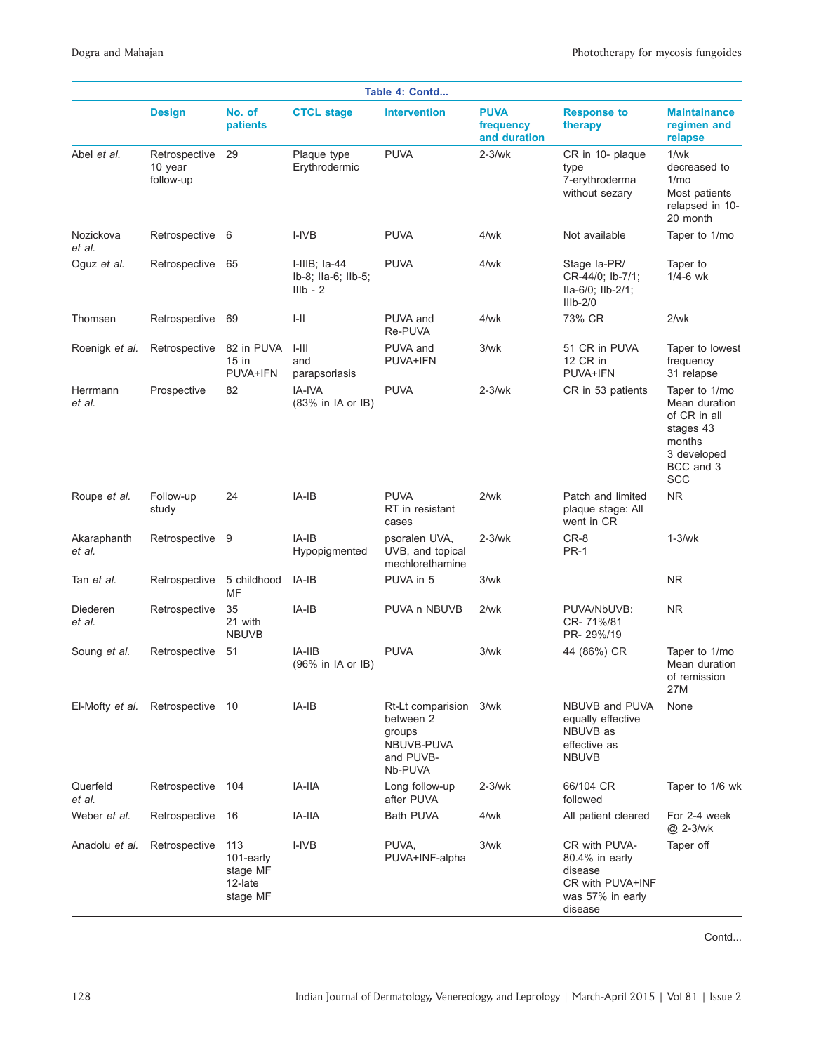|                       | Table 4: Contd                        |                                                     |                                                      |                                                                                |                                          |                                                                                               |                                                                                                                 |  |  |
|-----------------------|---------------------------------------|-----------------------------------------------------|------------------------------------------------------|--------------------------------------------------------------------------------|------------------------------------------|-----------------------------------------------------------------------------------------------|-----------------------------------------------------------------------------------------------------------------|--|--|
|                       | <b>Design</b>                         | No. of<br>patients                                  | <b>CTCL stage</b>                                    | <b>Intervention</b>                                                            | <b>PUVA</b><br>frequency<br>and duration | <b>Response to</b><br>therapy                                                                 | <b>Maintainance</b><br>regimen and<br>relapse                                                                   |  |  |
| Abel et al.           | Retrospective<br>10 year<br>follow-up | 29                                                  | Plaque type<br>Erythrodermic                         | <b>PUVA</b>                                                                    | $2-3$ /wk                                | CR in 10- plaque<br>type<br>7-erythroderma<br>without sezary                                  | 1/wk<br>decreased to<br>1/m <sub>O</sub><br>Most patients<br>relapsed in 10-<br>20 month                        |  |  |
| Nozickova<br>et al.   | Retrospective 6                       |                                                     | I-IVB                                                | <b>PUVA</b>                                                                    | $4$ /wk                                  | Not available                                                                                 | Taper to 1/mo                                                                                                   |  |  |
| Oguz et al.           | Retrospective                         | 65                                                  | $I-IIIB; Ia-44$<br>lb-8; IIa-6; IIb-5;<br>$IIIb - 2$ | <b>PUVA</b>                                                                    | $4$ /wk                                  | Stage Ia-PR/<br>CR-44/0; lb-7/1;<br>$IIa-6/0$ ; $IIb-2/1$ ;<br>$IIIb-2/0$                     | Taper to<br>$1/4 - 6$ wk                                                                                        |  |  |
| Thomsen               | Retrospective                         | 69                                                  | $I-II$                                               | PUVA and<br>Re-PUVA                                                            | $4$ /wk                                  | 73% CR                                                                                        | $2$ /wk                                                                                                         |  |  |
| Roenigk et al.        | Retrospective                         | 82 in PUVA<br>$15$ in<br>PUVA+IFN                   | $I-III$<br>and<br>parapsoriasis                      | PUVA and<br>PUVA+IFN                                                           | 3/wk                                     | 51 CR in PUVA<br>12 CR in<br>PUVA+IFN                                                         | Taper to lowest<br>frequency<br>31 relapse                                                                      |  |  |
| Herrmann<br>et al.    | Prospective                           | 82                                                  | <b>IA-IVA</b><br>(83% in IA or IB)                   | <b>PUVA</b>                                                                    | $2-3/wk$                                 | CR in 53 patients                                                                             | Taper to 1/mo<br>Mean duration<br>of CR in all<br>stages 43<br>months<br>3 developed<br>BCC and 3<br><b>SCC</b> |  |  |
| Roupe et al.          | Follow-up<br>study                    | 24                                                  | IA-IB                                                | <b>PUVA</b><br>RT in resistant<br>cases                                        | 2/wk                                     | Patch and limited<br>plaque stage: All<br>went in CR                                          | <b>NR</b>                                                                                                       |  |  |
| Akaraphanth<br>et al. | Retrospective 9                       |                                                     | IA-IB<br>Hypopigmented                               | psoralen UVA,<br>UVB, and topical<br>mechlorethamine                           | $2 - 3$ /wk                              | CR-8<br><b>PR-1</b>                                                                           | $1-3$ /wk                                                                                                       |  |  |
| Tan et al.            | Retrospective                         | 5 childhood<br>MF                                   | IA-IB                                                | PUVA in 5                                                                      | 3/wk                                     |                                                                                               | NR.                                                                                                             |  |  |
| Diederen<br>et al.    | Retrospective                         | 35<br>21 with<br><b>NBUVB</b>                       | IA-IB                                                | PUVA n NBUVB                                                                   | $2$ /wk                                  | PUVA/NbUVB:<br>CR-71%/81<br>PR-29%/19                                                         | NR.                                                                                                             |  |  |
| Soung et al.          | Retrospective                         | 51                                                  | IA-IIB<br>(96% in IA or IB)                          | <b>PUVA</b>                                                                    | 3/wk                                     | 44 (86%) CR                                                                                   | Taper to 1/mo<br>Mean duration<br>of remission<br>27M                                                           |  |  |
|                       | El-Mofty et al. Retrospective 10      |                                                     | IA-IB                                                | Rt-Lt comparision<br>between 2<br>groups<br>NBUVB-PUVA<br>and PUVB-<br>Nb-PUVA | 3/wk                                     | NBUVB and PUVA<br>equally effective<br>NBUVB as<br>effective as<br><b>NBUVB</b>               | None                                                                                                            |  |  |
| Querfeld<br>et al.    | Retrospective                         | 104                                                 | IA-IIA                                               | Long follow-up<br>after PUVA                                                   | $2-3$ /wk                                | 66/104 CR<br>followed                                                                         | Taper to 1/6 wk                                                                                                 |  |  |
| Weber et al.          | Retrospective                         | 16                                                  | IA-IIA                                               | Bath PUVA                                                                      | 4/wk                                     | All patient cleared                                                                           | For 2-4 week<br>@ 2-3/wk                                                                                        |  |  |
| Anadolu et al.        | Retrospective                         | 113<br>101-early<br>stage MF<br>12-late<br>stage MF | I-IVB                                                | PUVA,<br>PUVA+INF-alpha                                                        | 3/wk                                     | CR with PUVA-<br>80.4% in early<br>disease<br>CR with PUVA+INF<br>was 57% in early<br>disease | Taper off                                                                                                       |  |  |

Contd...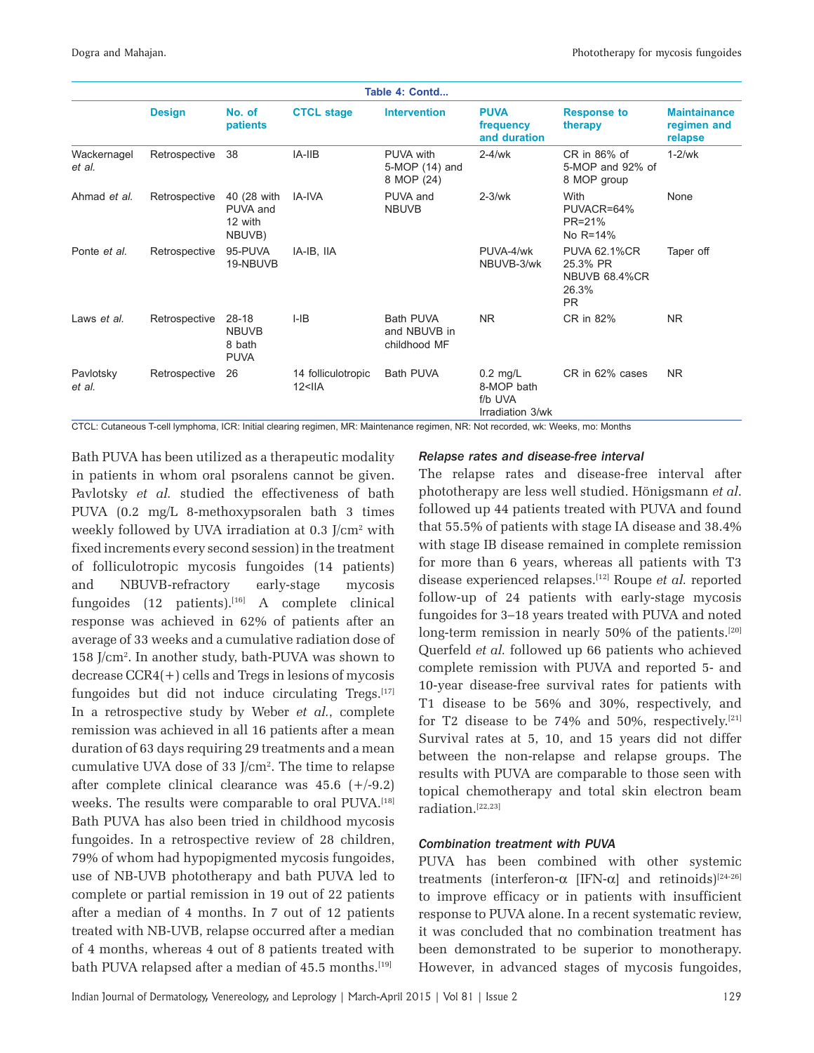|                       | Table 4: Contd |                                                  |                                       |                                                  |                                                         |                                                                        |                                               |  |  |
|-----------------------|----------------|--------------------------------------------------|---------------------------------------|--------------------------------------------------|---------------------------------------------------------|------------------------------------------------------------------------|-----------------------------------------------|--|--|
|                       | <b>Design</b>  | No. of<br>patients                               | <b>CTCL stage</b>                     | <b>Intervention</b>                              | <b>PUVA</b><br>frequency<br>and duration                | <b>Response to</b><br>therapy                                          | <b>Maintainance</b><br>regimen and<br>relapse |  |  |
| Wackernagel<br>et al. | Retrospective  | 38                                               | IA-IIB                                | PUVA with<br>5-MOP (14) and<br>8 MOP (24)        | $2-4$ /wk                                               | CR in 86% of<br>5-MOP and 92% of<br>8 MOP group                        | $1-2/wk$                                      |  |  |
| Ahmad et al.          | Retrospective  | 40 (28 with<br>PUVA and<br>12 with<br>NBUVB)     | IA-IVA                                | PUVA and<br><b>NBUVB</b>                         | $2-3/wk$                                                | With<br>PUVACR=64%<br>PR=21%<br>No R=14%                               | None                                          |  |  |
| Ponte et al.          | Retrospective  | 95-PUVA<br>19-NBUVB                              | IA-IB, IIA                            |                                                  | PUVA-4/wk<br>NBUVB-3/wk                                 | <b>PUVA 62.1%CR</b><br>25.3% PR<br>NBUVB 68.4%CR<br>26.3%<br><b>PR</b> | Taper off                                     |  |  |
| Laws et al.           | Retrospective  | $28-18$<br><b>NBUVB</b><br>8 bath<br><b>PUVA</b> | $I - IB$                              | <b>Bath PUVA</b><br>and NBUVB in<br>childhood MF | <b>NR</b>                                               | CR in 82%                                                              | NR.                                           |  |  |
| Pavlotsky<br>et al.   | Retrospective  | 26                                               | 14 folliculotropic<br>$12$ $\leq$ IIA | Bath PUVA                                        | $0.2$ mg/L<br>8-MOP bath<br>f/b UVA<br>Irradiation 3/wk | CR in 62% cases                                                        | NR.                                           |  |  |

CTCL: Cutaneous T-cell lymphoma, ICR: Initial clearing regimen, MR: Maintenance regimen, NR: Not recorded, wk: Weeks, mo: Months

Bath PUVA has been utilized as a therapeutic modality in patients in whom oral psoralens cannot be given. Pavlotsky *et al.* studied the effectiveness of bath PUVA (0.2 mg/L 8-methoxypsoralen bath 3 times weekly followed by UVA irradiation at 0.3 J/cm<sup>2</sup> with fixed increments every second session) in the treatment of folliculotropic mycosis fungoides (14 patients) and NBUVB-refractory early-stage mycosis fungoides  $(12$  patients).<sup>[16]</sup> A complete clinical response was achieved in 62% of patients after an average of 33 weeks and a cumulative radiation dose of 158 J/cm2 . In another study, bath-PUVA was shown to decrease CCR4(+) cells and Tregs in lesions of mycosis fungoides but did not induce circulating Tregs.<sup>[17]</sup> In a retrospective study by Weber *et al.*, complete remission was achieved in all 16 patients after a mean duration of 63 days requiring 29 treatments and a mean cumulative UVA dose of 33 J/cm2 . The time to relapse after complete clinical clearance was  $45.6$  ( $+/-9.2$ ) weeks. The results were comparable to oral PUVA.[18] Bath PUVA has also been tried in childhood mycosis fungoides. In a retrospective review of 28 children, 79% of whom had hypopigmented mycosis fungoides, use of NB-UVB phototherapy and bath PUVA led to complete or partial remission in 19 out of 22 patients after a median of 4 months. In 7 out of 12 patients treated with NB-UVB, relapse occurred after a median of 4 months, whereas 4 out of 8 patients treated with bath PUVA relapsed after a median of 45.5 months.<sup>[19]</sup>

# *Relapse rates and disease-free interval*

The relapse rates and disease-free interval after phototherapy are less well studied. Hönigsmann *et al*. followed up 44 patients treated with PUVA and found that 55.5% of patients with stage IA disease and 38.4% with stage IB disease remained in complete remission for more than 6 years, whereas all patients with T3 disease experienced relapses.[12] Roupe *et al.* reported follow-up of 24 patients with early-stage mycosis fungoides for 3–18 years treated with PUVA and noted long-term remission in nearly 50% of the patients.<sup>[20]</sup> Querfeld *et al.* followed up 66 patients who achieved complete remission with PUVA and reported 5- and 10-year disease-free survival rates for patients with T1 disease to be 56% and 30%, respectively, and for T2 disease to be  $74\%$  and  $50\%$ , respectively.<sup>[21]</sup> Survival rates at 5, 10, and 15 years did not differ between the non-relapse and relapse groups. The results with PUVA are comparable to those seen with topical chemotherapy and total skin electron beam radiation.[22,23]

# *Combination treatment with PUVA*

PUVA has been combined with other systemic treatments (interferon-α [IFN-α] and retinoids)<sup>[24-26]</sup> to improve efficacy or in patients with insufficient response to PUVA alone. In a recent systematic review, it was concluded that no combination treatment has been demonstrated to be superior to monotherapy. However, in advanced stages of mycosis fungoides,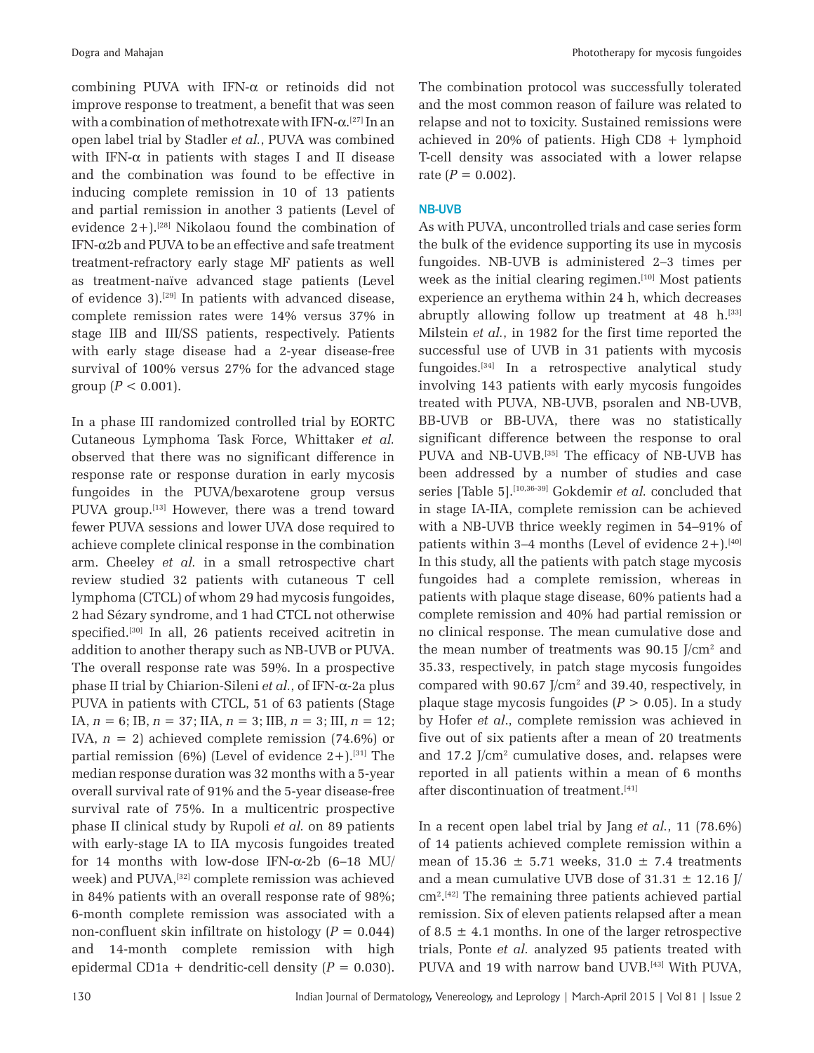combining PUVA with IFN-α or retinoids did not improve response to treatment, a benefit that was seen with a combination of methotrexate with IFN-α. [27] In an open label trial by Stadler *et al.*, PUVA was combined with IFN- $\alpha$  in patients with stages I and II disease and the combination was found to be effective in inducing complete remission in 10 of 13 patients and partial remission in another 3 patients (Level of evidence  $2+$ ).<sup>[28]</sup> Nikolaou found the combination of IFN-α2b and PUVA to be an effective and safe treatment treatment-refractory early stage MF patients as well as treatment-naïve advanced stage patients (Level of evidence 3).[29] In patients with advanced disease, complete remission rates were 14% versus 37% in stage IIB and III/SS patients, respectively. Patients with early stage disease had a 2-year disease-free survival of 100% versus 27% for the advanced stage group  $(P < 0.001)$ .

In a phase III randomized controlled trial by EORTC Cutaneous Lymphoma Task Force, Whittaker *et al.* observed that there was no significant difference in response rate or response duration in early mycosis fungoides in the PUVA/bexarotene group versus PUVA group.<sup>[13]</sup> However, there was a trend toward fewer PUVA sessions and lower UVA dose required to achieve complete clinical response in the combination arm. Cheeley *et al.* in a small retrospective chart review studied 32 patients with cutaneous T cell lymphoma (CTCL) of whom 29 had mycosis fungoides, 2 had Sézary syndrome, and 1 had CTCL not otherwise specified.<sup>[30]</sup> In all, 26 patients received acitretin in addition to another therapy such as NB-UVB or PUVA. The overall response rate was 59%. In a prospective phase II trial by Chiarion-Sileni *et al.*, of IFN-α-2a plus PUVA in patients with CTCL, 51 of 63 patients (Stage IA,  $n = 6$ ; IB,  $n = 37$ ; IIA,  $n = 3$ ; IIB,  $n = 3$ ; III,  $n = 12$ ; IVA,  $n = 2$ ) achieved complete remission (74.6%) or partial remission (6%) (Level of evidence  $2+$ ).<sup>[31]</sup> The median response duration was 32 months with a 5-year overall survival rate of 91% and the 5-year disease-free survival rate of 75%. In a multicentric prospective phase II clinical study by Rupoli *et al.* on 89 patients with early-stage IA to IIA mycosis fungoides treated for 14 months with low-dose IFN- $\alpha$ -2b (6–18 MU/ week) and PUVA,[32] complete remission was achieved in 84% patients with an overall response rate of 98%; 6-month complete remission was associated with a non-confluent skin infiltrate on histology  $(P = 0.044)$ and 14-month complete remission with high epidermal CD1a + dendritic-cell density  $(P = 0.030)$ .

The combination protocol was successfully tolerated and the most common reason of failure was related to relapse and not to toxicity. Sustained remissions were achieved in 20% of patients. High CD8 + lymphoid T-cell density was associated with a lower relapse rate  $(P = 0.002)$ .

# NB-UVB

As with PUVA, uncontrolled trials and case series form the bulk of the evidence supporting its use in mycosis fungoides. NB-UVB is administered 2–3 times per week as the initial clearing regimen.<sup>[10]</sup> Most patients experience an erythema within 24 h, which decreases abruptly allowing follow up treatment at 48 h.<sup>[33]</sup> Milstein *et al.*, in 1982 for the first time reported the successful use of UVB in 31 patients with mycosis fungoides.[34] In a retrospective analytical study involving 143 patients with early mycosis fungoides treated with PUVA, NB-UVB, psoralen and NB-UVB, BB-UVB or BB-UVA, there was no statistically significant difference between the response to oral PUVA and NB-UVB.[35] The efficacy of NB-UVB has been addressed by a number of studies and case series [Table 5].<sup>[10,36-39]</sup> Gokdemir *et al.* concluded that in stage IA-IIA, complete remission can be achieved with a NB-UVB thrice weekly regimen in 54–91% of patients within 3–4 months (Level of evidence  $2+$ ).<sup>[40]</sup> In this study, all the patients with patch stage mycosis fungoides had a complete remission, whereas in patients with plaque stage disease, 60% patients had a complete remission and 40% had partial remission or no clinical response. The mean cumulative dose and the mean number of treatments was  $90.15$  J/cm<sup>2</sup> and 35.33, respectively, in patch stage mycosis fungoides compared with  $90.67$  J/cm<sup>2</sup> and 39.40, respectively, in plaque stage mycosis fungoides  $(P > 0.05)$ . In a study by Hofer *et al*., complete remission was achieved in five out of six patients after a mean of 20 treatments and 17.2 J/cm<sup>2</sup> cumulative doses, and. relapses were reported in all patients within a mean of 6 months after discontinuation of treatment.[41]

In a recent open label trial by Jang *et al.*, 11 (78.6%) of 14 patients achieved complete remission within a mean of 15.36  $\pm$  5.71 weeks, 31.0  $\pm$  7.4 treatments and a mean cumulative UVB dose of  $31.31 \pm 12.16$  J/ cm2 . [42] The remaining three patients achieved partial remission. Six of eleven patients relapsed after a mean of 8.5  $\pm$  4.1 months. In one of the larger retrospective trials, Ponte *et al.* analyzed 95 patients treated with PUVA and 19 with narrow band UVB.<sup>[43]</sup> With PUVA,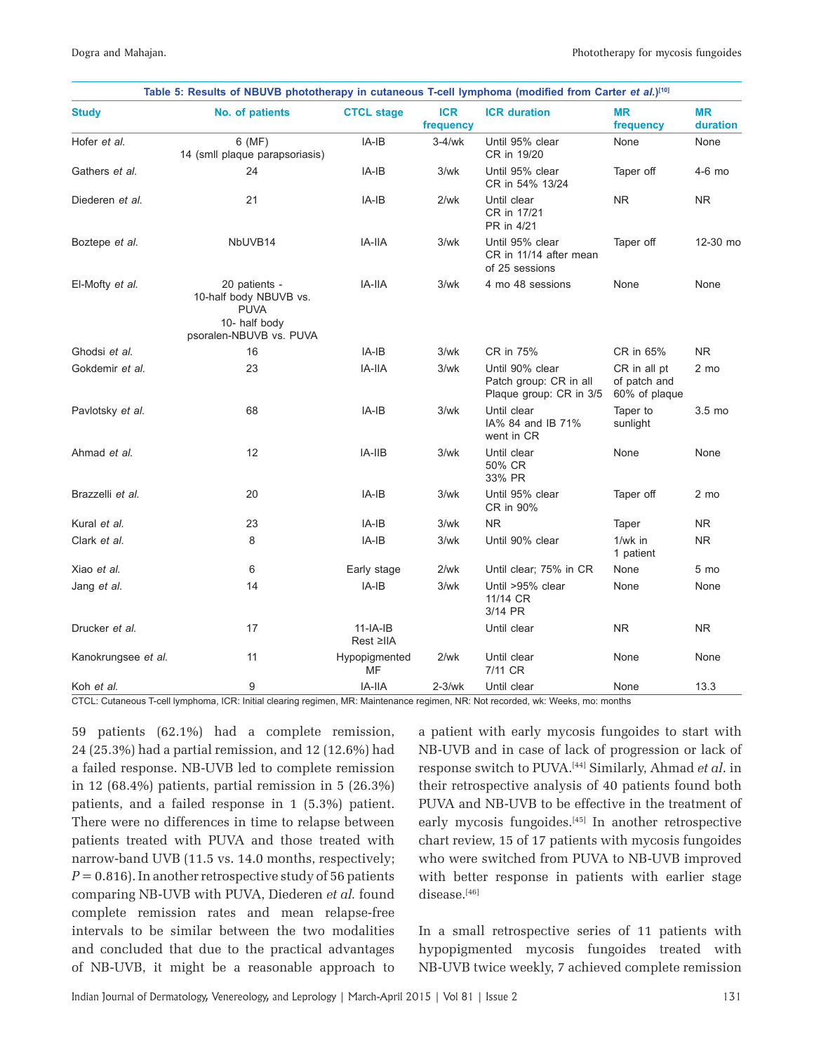| Table 5: Results of NBUVB phototherapy in cutaneous T-cell lymphoma (modified from Carter et al.)[10] |                                                                                                    |                         |                                                                                      |                                                                      |                                               |                  |  |  |  |  |
|-------------------------------------------------------------------------------------------------------|----------------------------------------------------------------------------------------------------|-------------------------|--------------------------------------------------------------------------------------|----------------------------------------------------------------------|-----------------------------------------------|------------------|--|--|--|--|
| <b>Study</b>                                                                                          | No. of patients                                                                                    | <b>CTCL stage</b>       | <b>ICR</b><br>frequency                                                              | <b>ICR</b> duration                                                  | ΜR<br>frequency                               | ΜR<br>duration   |  |  |  |  |
| Hofer et al.                                                                                          | 6 (MF)<br>14 (smll plaque parapsoriasis)                                                           | IA-IB                   | $3-4$ /wk                                                                            | Until 95% clear<br>CR in 19/20                                       | None                                          | None             |  |  |  |  |
| Gathers et al.                                                                                        | 24                                                                                                 | IA-IB                   | 3/wk                                                                                 | Until 95% clear<br>CR in 54% 13/24                                   | Taper off                                     | $4-6$ mo         |  |  |  |  |
| Diederen et al.                                                                                       | 21                                                                                                 |                         | Until clear<br>$IA-IB$<br>2/wk<br>CR in 17/21<br>PR in 4/21                          |                                                                      | NR.                                           | <b>NR</b>        |  |  |  |  |
| Boztepe et al.                                                                                        | NbUVB14                                                                                            |                         | <b>IA-IIA</b><br>Until 95% clear<br>3/wk<br>CR in 11/14 after mean<br>of 25 sessions |                                                                      | Taper off                                     | 12-30 mo         |  |  |  |  |
| El-Mofty et al.                                                                                       | 20 patients -<br>10-half body NBUVB vs.<br><b>PUVA</b><br>10- half body<br>psoralen-NBUVB vs. PUVA | IA-IIA                  | 3/wk                                                                                 | 4 mo 48 sessions                                                     | None                                          | None             |  |  |  |  |
| Ghodsi et al.                                                                                         | 16                                                                                                 | $IA-IB$                 | 3/wk                                                                                 | CR in 75%                                                            | CR in 65%                                     | NR.              |  |  |  |  |
| Gokdemir et al.                                                                                       | 23                                                                                                 | <b>IA-IIA</b>           | 3/wk                                                                                 | Until 90% clear<br>Patch group: CR in all<br>Plaque group: CR in 3/5 | CR in all pt<br>of patch and<br>60% of plaque | 2 mo             |  |  |  |  |
| Pavlotsky et al.                                                                                      | 68                                                                                                 | $IA-IB$                 | 3/wk                                                                                 | Until clear<br>IA% 84 and IB 71%<br>went in CR                       | Taper to<br>sunlight                          | $3.5 \text{ mo}$ |  |  |  |  |
| Ahmad et al.                                                                                          | 12                                                                                                 | IA-IIB                  | 3/wk                                                                                 | Until clear<br>50% CR<br>33% PR                                      | None                                          | None             |  |  |  |  |
| Brazzelli et al.                                                                                      | 20                                                                                                 | $IA-IB$                 | 3/wk                                                                                 | Until 95% clear<br>CR in 90%                                         | Taper off                                     | 2 mo             |  |  |  |  |
| Kural et al.                                                                                          | 23                                                                                                 | $IA-IB$                 | 3/wk                                                                                 | <b>NR</b>                                                            | Taper                                         | NR.              |  |  |  |  |
| Clark et al.                                                                                          | 8                                                                                                  | $IA-IB$                 | 3/wk                                                                                 | Until 90% clear                                                      | $1/wk$ in<br>1 patient                        | NR.              |  |  |  |  |
| Xiao et al.                                                                                           | 6                                                                                                  | Early stage             | 2/wk                                                                                 | Until clear; 75% in CR                                               | None                                          | 5 mo             |  |  |  |  |
| Jang et al.                                                                                           | 14                                                                                                 | IA-IB                   | 3/wk                                                                                 | Until >95% clear<br>11/14 CR<br>3/14 PR                              | None                                          | None             |  |  |  |  |
| Drucker et al.                                                                                        | 17                                                                                                 | $11-IA-IB$<br>Rest ≥IIA |                                                                                      | Until clear                                                          | NR.                                           | NR.              |  |  |  |  |
| Kanokrungsee et al.                                                                                   | 11                                                                                                 | Hypopigmented<br>MF     | 2/wk                                                                                 | Until clear<br>7/11 CR                                               | None                                          | None             |  |  |  |  |
| Koh <i>et al.</i>                                                                                     | 9                                                                                                  | <b>IA-IIA</b>           | $2-3$ /wk                                                                            | Until clear                                                          | None                                          | 13.3             |  |  |  |  |

CTCL: Cutaneous T-cell lymphoma, ICR: Initial clearing regimen, MR: Maintenance regimen, NR: Not recorded, wk: Weeks, mo: months

59 patients (62.1%) had a complete remission, 24 (25.3%) had a partial remission, and 12 (12.6%) had a failed response. NB-UVB led to complete remission in 12 (68.4%) patients, partial remission in 5 (26.3%) patients, and a failed response in 1 (5.3%) patient. There were no differences in time to relapse between patients treated with PUVA and those treated with narrow-band UVB (11.5 vs. 14.0 months, respectively;  $P = 0.816$ . In another retrospective study of 56 patients comparing NB-UVB with PUVA, Diederen *et al.* found complete remission rates and mean relapse-free intervals to be similar between the two modalities and concluded that due to the practical advantages of NB-UVB, it might be a reasonable approach to a patient with early mycosis fungoides to start with NB-UVB and in case of lack of progression or lack of response switch to PUVA.[44] Similarly, Ahmad *et al*. in their retrospective analysis of 40 patients found both PUVA and NB-UVB to be effective in the treatment of early mycosis fungoides. $[45]$  In another retrospective chart review, 15 of 17 patients with mycosis fungoides who were switched from PUVA to NB-UVB improved with better response in patients with earlier stage disease.[46]

In a small retrospective series of 11 patients with hypopigmented mycosis fungoides treated with NB-UVB twice weekly, 7 achieved complete remission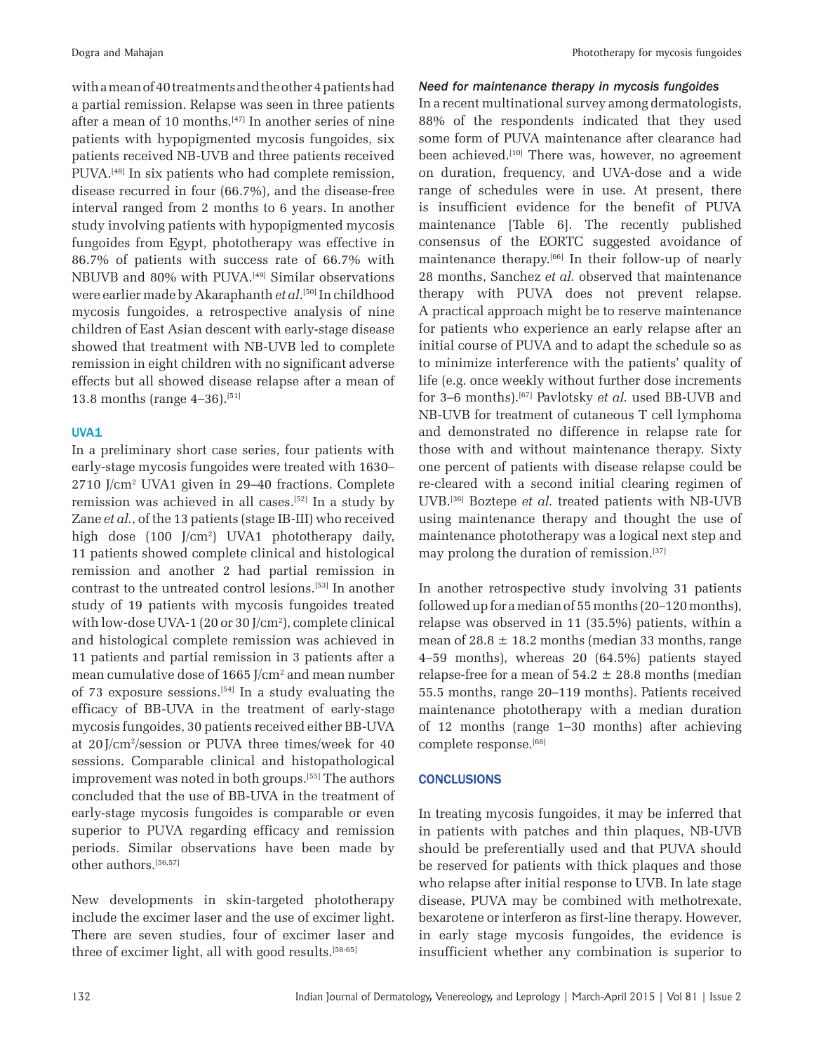with a mean of 40 treatments and the other 4 patients had a partial remission. Relapse was seen in three patients after a mean of 10 months.<sup>[47]</sup> In another series of nine patients with hypopigmented mycosis fungoides, six patients received NB-UVB and three patients received PUVA.[48] In six patients who had complete remission, disease recurred in four (66.7%), and the disease-free interval ranged from 2 months to 6 years. In another study involving patients with hypopigmented mycosis fungoides from Egypt, phototherapy was effective in 86.7% of patients with success rate of 66.7% with NBUVB and 80% with PUVA.[49] Similar observations were earlier made by Akaraphanth *et al*. [50] In childhood mycosis fungoides, a retrospective analysis of nine children of East Asian descent with early-stage disease showed that treatment with NB-UVB led to complete remission in eight children with no significant adverse effects but all showed disease relapse after a mean of 13.8 months (range 4–36).[51]

# UVA1

In a preliminary short case series, four patients with early-stage mycosis fungoides were treated with 1630– 2710 J/cm2 UVA1 given in 29–40 fractions. Complete remission was achieved in all cases.[52] In a study by Zane *et al.*, of the 13 patients (stage IB-III) who received high dose (100 J/cm<sup>2</sup>) UVA1 phototherapy daily, 11 patients showed complete clinical and histological remission and another 2 had partial remission in contrast to the untreated control lesions.[53] In another study of 19 patients with mycosis fungoides treated with low-dose UVA-1 (20 or 30 J/cm<sup>2</sup>), complete clinical and histological complete remission was achieved in 11 patients and partial remission in 3 patients after a mean cumulative dose of 1665 J/cm<sup>2</sup> and mean number of 73 exposure sessions.<sup>[54]</sup> In a study evaluating the efficacy of BB-UVA in the treatment of early-stage mycosis fungoides, 30 patients received either BB-UVA at 20 J/cm2 /session or PUVA three times/week for 40 sessions. Comparable clinical and histopathological improvement was noted in both groups.[55] The authors concluded that the use of BB-UVA in the treatment of early-stage mycosis fungoides is comparable or even superior to PUVA regarding efficacy and remission periods. Similar observations have been made by other authors.[56,57]

New developments in skin-targeted phototherapy include the excimer laser and the use of excimer light. There are seven studies, four of excimer laser and three of excimer light, all with good results.<sup>[58-65]</sup>

#### *Need for maintenance therapy in mycosis fungoides*

In a recent multinational survey among dermatologists, 88% of the respondents indicated that they used some form of PUVA maintenance after clearance had been achieved.<sup>[10]</sup> There was, however, no agreement on duration, frequency, and UVA-dose and a wide range of schedules were in use. At present, there is insufficient evidence for the benefit of PUVA maintenance [Table 6]. The recently published consensus of the EORTC suggested avoidance of maintenance therapy.[66] In their follow-up of nearly 28 months, Sanchez *et al.* observed that maintenance therapy with PUVA does not prevent relapse. A practical approach might be to reserve maintenance for patients who experience an early relapse after an initial course of PUVA and to adapt the schedule so as to minimize interference with the patients' quality of life (e.g. once weekly without further dose increments for 3–6 months).[67] Pavlotsky *et al.* used BB-UVB and NB-UVB for treatment of cutaneous T cell lymphoma and demonstrated no difference in relapse rate for those with and without maintenance therapy. Sixty one percent of patients with disease relapse could be re-cleared with a second initial clearing regimen of UVB.[36] Boztepe *et al.* treated patients with NB-UVB using maintenance therapy and thought the use of maintenance phototherapy was a logical next step and may prolong the duration of remission.<sup>[37]</sup>

In another retrospective study involving 31 patients followed up for a median of 55 months (20–120 months), relapse was observed in 11 (35.5%) patients, within a mean of  $28.8 \pm 18.2$  months (median 33 months, range 4–59 months), whereas 20 (64.5%) patients stayed relapse-free for a mean of  $54.2 \pm 28.8$  months (median 55.5 months, range 20–119 months). Patients received maintenance phototherapy with a median duration of 12 months (range 1–30 months) after achieving complete response.[68]

# **CONCLUSIONS**

In treating mycosis fungoides, it may be inferred that in patients with patches and thin plaques, NB-UVB should be preferentially used and that PUVA should be reserved for patients with thick plaques and those who relapse after initial response to UVB. In late stage disease, PUVA may be combined with methotrexate, bexarotene or interferon as first-line therapy. However, in early stage mycosis fungoides, the evidence is insufficient whether any combination is superior to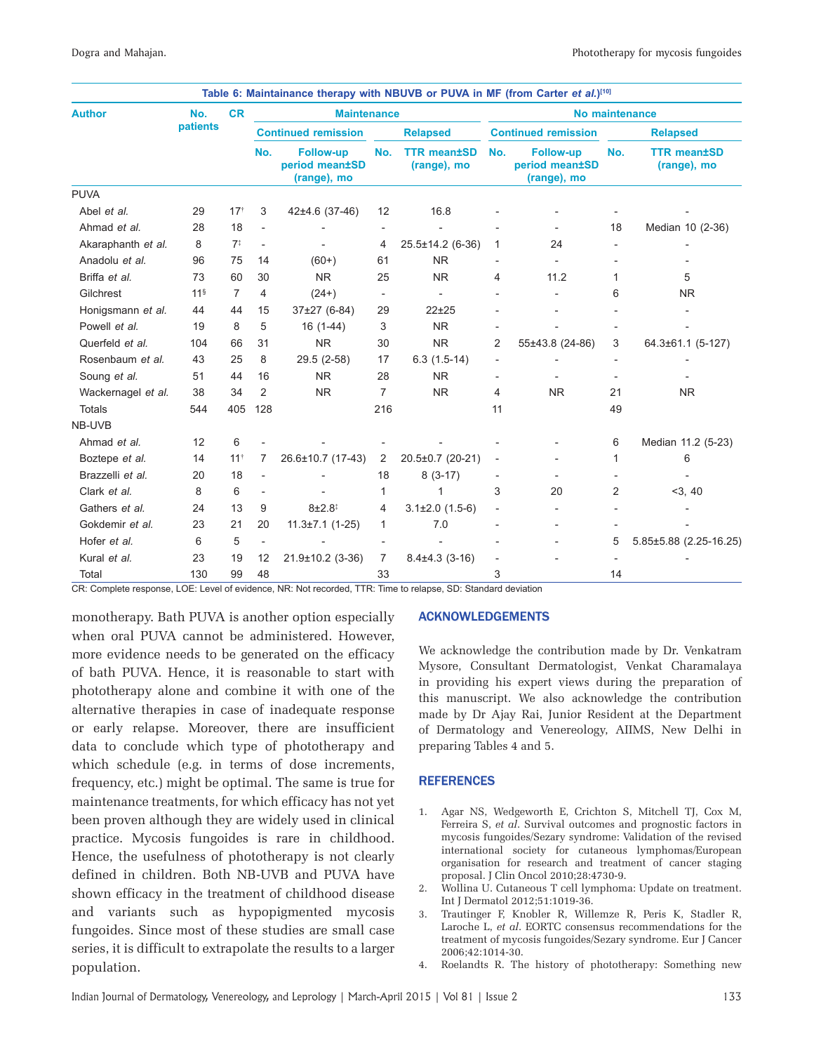|                    | Table 6: Maintainance therapy with NBUVB or PUVA in MF (from Carter et al.)[10] |                |                          |                                                   |                          |                                   |                            |                                                   |                          |                                   |
|--------------------|---------------------------------------------------------------------------------|----------------|--------------------------|---------------------------------------------------|--------------------------|-----------------------------------|----------------------------|---------------------------------------------------|--------------------------|-----------------------------------|
| <b>Author</b>      | No.                                                                             | <b>CR</b>      |                          | <b>Maintenance</b>                                |                          |                                   |                            |                                                   |                          | No maintenance                    |
|                    | patients                                                                        |                |                          | <b>Continued remission</b>                        | <b>Relapsed</b>          |                                   | <b>Continued remission</b> |                                                   |                          | <b>Relapsed</b>                   |
|                    |                                                                                 |                | No.                      | <b>Follow-up</b><br>period mean±SD<br>(range), mo | No.                      | <b>TTR</b> mean±SD<br>(range), mo | No.                        | <b>Follow-up</b><br>period mean±SD<br>(range), mo | No.                      | <b>TTR mean±SD</b><br>(range), mo |
| <b>PUVA</b>        |                                                                                 |                |                          |                                                   |                          |                                   |                            |                                                   |                          |                                   |
| Abel et al.        | 29                                                                              | $17^{\dagger}$ | 3                        | 42±4.6 (37-46)                                    | 12                       | 16.8                              |                            |                                                   |                          |                                   |
| Ahmad et al.       | 28                                                                              | 18             | $\overline{\phantom{a}}$ |                                                   | $\overline{\phantom{a}}$ |                                   | $\overline{a}$             |                                                   | 18                       | Median 10 (2-36)                  |
| Akaraphanth et al. | 8                                                                               | $7^{\ddagger}$ | $\overline{\phantom{a}}$ |                                                   | 4                        | 25.5±14.2 (6-36)                  | 1                          | 24                                                |                          |                                   |
| Anadolu et al.     | 96                                                                              | 75             | 14                       | $(60+)$                                           | 61                       | <b>NR</b>                         | $\overline{a}$             | $\overline{a}$                                    | $\overline{\phantom{a}}$ |                                   |
| Briffa et al.      | 73                                                                              | 60             | 30                       | <b>NR</b>                                         | 25                       | N <sub>R</sub>                    | 4                          | 11.2                                              | 1                        | 5                                 |
| Gilchrest          | 11 <sup>§</sup>                                                                 | 7              | 4                        | $(24+)$                                           | $\overline{\phantom{a}}$ | $\overline{\phantom{a}}$          | $\overline{a}$             |                                                   | 6                        | <b>NR</b>                         |
| Honigsmann et al.  | 44                                                                              | 44             | 15                       | $37\pm27(6-84)$                                   | 29                       | $22 + 25$                         |                            |                                                   |                          |                                   |
| Powell et al.      | 19                                                                              | 8              | 5                        | $16(1-44)$                                        | 3                        | <b>NR</b>                         | $\overline{a}$             |                                                   | $\overline{\phantom{0}}$ |                                   |
| Querfeld et al.    | 104                                                                             | 66             | 31                       | <b>NR</b>                                         | 30                       | <b>NR</b>                         | $\overline{2}$             | 55±43.8 (24-86)                                   | 3                        | 64.3±61.1 (5-127)                 |
| Rosenbaum et al.   | 43                                                                              | 25             | 8                        | 29.5 (2-58)                                       | 17                       | $6.3(1.5-14)$                     | $\overline{\phantom{a}}$   |                                                   | $\overline{a}$           |                                   |
| Soung et al.       | 51                                                                              | 44             | 16                       | N <sub>R</sub>                                    | 28                       | N <sub>R</sub>                    | $\overline{\phantom{0}}$   |                                                   |                          |                                   |
| Wackernagel et al. | 38                                                                              | 34             | $\overline{2}$           | <b>NR</b>                                         | $\overline{7}$           | <b>NR</b>                         | 4                          | <b>NR</b>                                         | 21                       | N <sub>R</sub>                    |
| <b>Totals</b>      | 544                                                                             | 405            | 128                      |                                                   | 216                      |                                   | 11                         |                                                   | 49                       |                                   |
| NB-UVB             |                                                                                 |                |                          |                                                   |                          |                                   |                            |                                                   |                          |                                   |
| Ahmad et al.       | 12                                                                              | 6              |                          |                                                   |                          |                                   |                            |                                                   | 6                        | Median 11.2 (5-23)                |
| Boztepe et al.     | 14                                                                              | $11^{\dagger}$ | 7                        | 26.6±10.7 (17-43)                                 | 2                        | 20.5±0.7 (20-21)                  | $\overline{\phantom{a}}$   |                                                   | 1                        | 6                                 |
| Brazzelli et al.   | 20                                                                              | 18             | $\overline{\phantom{a}}$ |                                                   | 18                       | $8(3-17)$                         | $\overline{\phantom{0}}$   |                                                   |                          |                                   |
| Clark et al.       | 8                                                                               | 6              | $\overline{\phantom{a}}$ |                                                   | 1                        | 1                                 | 3                          | 20                                                | $\overline{2}$           | 3, 40                             |
| Gathers et al.     | 24                                                                              | 13             | 9                        | $8 + 2.8$                                         | 4                        | $3.1\pm2.0$ (1.5-6)               | $\overline{\phantom{a}}$   |                                                   |                          |                                   |
| Gokdemir et al.    | 23                                                                              | 21             | 20                       | $11.3 \pm 7.1$ (1-25)                             | 1                        | 7.0                               | $\overline{a}$             |                                                   |                          |                                   |
| Hofer et al.       | 6                                                                               | 5              | $\overline{\phantom{a}}$ |                                                   |                          |                                   | $\overline{a}$             |                                                   | 5                        | 5.85±5.88 (2.25-16.25)            |
| Kural et al.       | 23                                                                              | 19             | 12                       | 21.9±10.2 (3-36)                                  | 7                        | $8.4\pm4.3(3-16)$                 | $\overline{\phantom{a}}$   |                                                   |                          |                                   |
| Total              | 130                                                                             | 99             | 48                       |                                                   | 33                       |                                   | 3                          |                                                   | 14                       |                                   |

CR: Complete response, LOE: Level of evidence, NR: Not recorded, TTR: Time to relapse, SD: Standard deviation

monotherapy. Bath PUVA is another option especially when oral PUVA cannot be administered. However, more evidence needs to be generated on the efficacy of bath PUVA. Hence, it is reasonable to start with phototherapy alone and combine it with one of the alternative therapies in case of inadequate response or early relapse. Moreover, there are insufficient data to conclude which type of phototherapy and which schedule (e.g. in terms of dose increments, frequency, etc.) might be optimal. The same is true for maintenance treatments, for which efficacy has not yet been proven although they are widely used in clinical practice. Mycosis fungoides is rare in childhood. Hence, the usefulness of phototherapy is not clearly defined in children. Both NB-UVB and PUVA have shown efficacy in the treatment of childhood disease and variants such as hypopigmented mycosis fungoides. Since most of these studies are small case series, it is difficult to extrapolate the results to a larger population.

# **ACKNOWLEDGEMENTS**

We acknowledge the contribution made by Dr. Venkatram Mysore, Consultant Dermatologist, Venkat Charamalaya in providing his expert views during the preparation of this manuscript. We also acknowledge the contribution made by Dr Ajay Rai, Junior Resident at the Department of Dermatology and Venereology, AIIMS, New Delhi in preparing Tables 4 and 5.

# **REFERENCES**

- 1. Agar NS, Wedgeworth E, Crichton S, Mitchell TJ, Cox M, Ferreira S, *et al*. Survival outcomes and prognostic factors in mycosis fungoides/Sezary syndrome: Validation of the revised international society for cutaneous lymphomas/European organisation for research and treatment of cancer staging proposal. J Clin Oncol 2010;28:4730-9.
- 2. Wollina U. Cutaneous T cell lymphoma: Update on treatment. Int J Dermatol 2012;51:1019-36.
- 3. Trautinger F, Knobler R, Willemze R, Peris K, Stadler R, Laroche L, *et al*. EORTC consensus recommendations for the treatment of mycosis fungoides/Sezary syndrome. Eur J Cancer 2006;42:1014-30.
- 4. Roelandts R. The history of phototherapy: Something new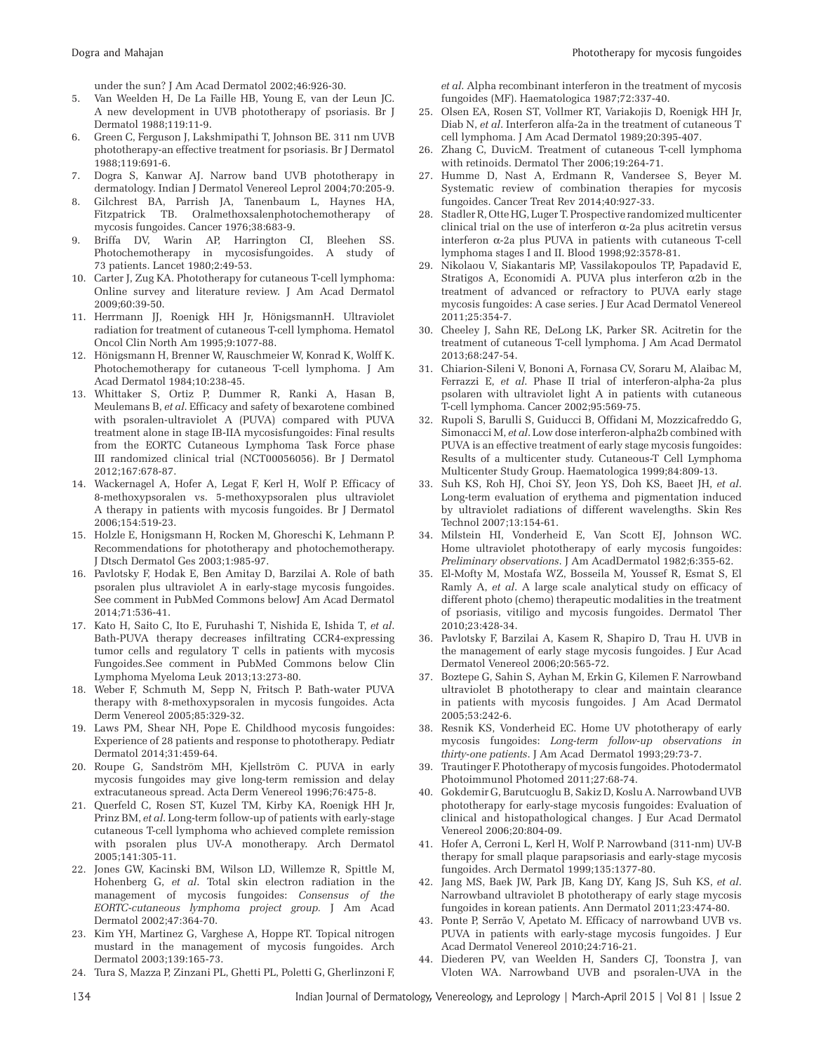under the sun? J Am Acad Dermatol 2002;46:926-30.

- 5. Van Weelden H, De La Faille HB, Young E, van der Leun JC. A new development in UVB phototherapy of psoriasis. Br J Dermatol 1988;119:11-9.
- 6. Green C, Ferguson J, Lakshmipathi T, Johnson BE. 311 nm UVB phototherapy-an effective treatment for psoriasis. Br J Dermatol 1988;119:691-6.
- 7. Dogra S, Kanwar AJ. Narrow band UVB phototherapy in dermatology. Indian J Dermatol Venereol Leprol 2004;70:205-9.
- 8. Gilchrest BA, Parrish JA, Tanenbaum L, Haynes HA, Fitzpatrick TB. Oralmethoxsalenphotochemotherapy of mycosis fungoides. Cancer 1976;38:683-9.
- 9. Briffa DV, Warin AP, Harrington CI, Bleehen SS. Photochemotherapy in mycosisfungoides. A study of 73 patients. Lancet 1980;2:49-53.
- 10. Carter J, Zug KA. Phototherapy for cutaneous T-cell lymphoma: Online survey and literature review. J Am Acad Dermatol 2009;60:39-50.
- 11. Herrmann JJ, Roenigk HH Jr, HönigsmannH. Ultraviolet radiation for treatment of cutaneous T-cell lymphoma. Hematol Oncol Clin North Am 1995;9:1077-88.
- 12. Hönigsmann H, Brenner W, Rauschmeier W, Konrad K, Wolff K. Photochemotherapy for cutaneous T-cell lymphoma. J Am Acad Dermatol 1984;10:238-45.
- 13. Whittaker S, Ortiz P, Dummer R, Ranki A, Hasan B, Meulemans B, *et al*. Efficacy and safety of bexarotene combined with psoralen-ultraviolet A (PUVA) compared with PUVA treatment alone in stage IB-IIA mycosisfungoides: Final results from the EORTC Cutaneous Lymphoma Task Force phase III randomized clinical trial (NCT00056056). Br J Dermatol 2012;167:678-87.
- 14. Wackernagel A, Hofer A, Legat F, Kerl H, Wolf P. Efficacy of 8-methoxypsoralen vs. 5-methoxypsoralen plus ultraviolet A therapy in patients with mycosis fungoides. Br J Dermatol 2006;154:519-23.
- 15. Holzle E, Honigsmann H, Rocken M, Ghoreschi K, Lehmann P. Recommendations for phototherapy and photochemotherapy. J Dtsch Dermatol Ges 2003;1:985-97.
- 16. Pavlotsky F, Hodak E, Ben Amitay D, Barzilai A. Role of bath psoralen plus ultraviolet A in early-stage mycosis fungoides. See comment in PubMed Commons belowJ Am Acad Dermatol 2014;71:536-41.
- 17. Kato H, Saito C, Ito E, Furuhashi T, Nishida E, Ishida T, *et al*. Bath-PUVA therapy decreases infiltrating CCR4-expressing tumor cells and regulatory T cells in patients with mycosis Fungoides.See comment in PubMed Commons below Clin Lymphoma Myeloma Leuk 2013;13:273-80.
- 18. Weber F, Schmuth M, Sepp N, Fritsch P. Bath-water PUVA therapy with 8-methoxypsoralen in mycosis fungoides. Acta Derm Venereol 2005;85:329-32.
- 19. Laws PM, Shear NH, Pope E. Childhood mycosis fungoides: Experience of 28 patients and response to phototherapy. Pediatr Dermatol 2014;31:459-64.
- 20. Roupe G, Sandström MH, Kjellström C. PUVA in early mycosis fungoides may give long-term remission and delay extracutaneous spread. Acta Derm Venereol 1996;76:475-8.
- 21. Querfeld C, Rosen ST, Kuzel TM, Kirby KA, Roenigk HH Jr, Prinz BM, *et al*. Long-term follow-up of patients with early-stage cutaneous T-cell lymphoma who achieved complete remission with psoralen plus UV-A monotherapy. Arch Dermatol 2005;141:305-11.
- 22. Jones GW, Kacinski BM, Wilson LD, Willemze R, Spittle M, Hohenberg G, *et al*. Total skin electron radiation in the management of mycosis fungoides: *Consensus of the EORTC-cutaneous lymphoma project group.* J Am Acad Dermatol 2002;47:364-70.
- 23. Kim YH, Martinez G, Varghese A, Hoppe RT. Topical nitrogen mustard in the management of mycosis fungoides. Arch Dermatol 2003;139:165-73.
- 24. Tura S, Mazza P, Zinzani PL, Ghetti PL, Poletti G, Gherlinzoni F,

*et al*. Alpha recombinant interferon in the treatment of mycosis fungoides (MF). Haematologica 1987;72:337-40.

- 25. Olsen EA, Rosen ST, Vollmer RT, Variakojis D, Roenigk HH Jr, Diab N, *et al*. Interferon alfa-2a in the treatment of cutaneous T cell lymphoma. J Am Acad Dermatol 1989;20:395-407.
- 26. Zhang C, DuvicM. Treatment of cutaneous T-cell lymphoma with retinoids. Dermatol Ther 2006;19:264-71.
- 27. Humme D, Nast A, Erdmann R, Vandersee S, Beyer M. Systematic review of combination therapies for mycosis fungoides. Cancer Treat Rev 2014;40:927-33.
- 28. Stadler R, Otte HG, Luger T. Prospective randomized multicenter clinical trial on the use of interferon  $\alpha$ -2a plus acitretin versus interferon α-2a plus PUVA in patients with cutaneous T-cell lymphoma stages I and II. Blood 1998;92:3578-81.
- 29. Nikolaou V, Siakantaris MP, Vassilakopoulos TP, Papadavid E, Stratigos A, Economidi A. PUVA plus interferon α2b in the treatment of advanced or refractory to PUVA early stage mycosis fungoides: A case series. J Eur Acad Dermatol Venereol 2011;25:354-7.
- 30. Cheeley J, Sahn RE, DeLong LK, Parker SR. Acitretin for the treatment of cutaneous T-cell lymphoma. J Am Acad Dermatol 2013;68:247-54.
- 31. Chiarion-Sileni V, Bononi A, Fornasa CV, Soraru M, Alaibac M, Ferrazzi E, *et al*. Phase II trial of interferon-alpha-2a plus psolaren with ultraviolet light A in patients with cutaneous T-cell lymphoma. Cancer 2002;95:569-75.
- 32. Rupoli S, Barulli S, Guiducci B, Offidani M, Mozzicafreddo G, Simonacci M, *et al*. Low dose interferon-alpha2b combined with PUVA is an effective treatment of early stage mycosis fungoides: Results of a multicenter study. Cutaneous-T Cell Lymphoma Multicenter Study Group. Haematologica 1999;84:809-13.
- 33. Suh KS, Roh HJ, Choi SY, Jeon YS, Doh KS, Baeet JH, *et al*. Long-term evaluation of erythema and pigmentation induced by ultraviolet radiations of different wavelengths. Skin Res Technol 2007;13:154-61.
- 34. Milstein HI, Vonderheid E, Van Scott EJ, Johnson WC. Home ultraviolet phototherapy of early mycosis fungoides: *Preliminary observations*. J Am AcadDermatol 1982;6:355-62.
- 35. El-Mofty M, Mostafa WZ, Bosseila M, Youssef R, Esmat S, El Ramly A, *et al*. A large scale analytical study on efficacy of different photo (chemo) therapeutic modalities in the treatment of psoriasis, vitiligo and mycosis fungoides. Dermatol Ther 2010;23:428-34.
- 36. Pavlotsky F, Barzilai A, Kasem R, Shapiro D, Trau H. UVB in the management of early stage mycosis fungoides. J Eur Acad Dermatol Venereol 2006;20:565-72.
- 37. Boztepe G, Sahin S, Ayhan M, Erkin G, Kilemen F. Narrowband ultraviolet B phototherapy to clear and maintain clearance in patients with mycosis fungoides. J Am Acad Dermatol 2005;53:242-6.
- 38. Resnik KS, Vonderheid EC. Home UV phototherapy of early mycosis fungoides: *Long-term follow-up observations in thirty-one patients*. J Am Acad Dermatol 1993;29:73-7.
- 39. Trautinger F. Phototherapy of mycosis fungoides. Photodermatol Photoimmunol Photomed 2011;27:68-74.
- 40. Gokdemir G, Barutcuoglu B, Sakiz D, Koslu A. Narrowband UVB phototherapy for early-stage mycosis fungoides: Evaluation of clinical and histopathological changes. J Eur Acad Dermatol Venereol 2006;20:804-09.
- 41. Hofer A, Cerroni L, Kerl H, Wolf P. Narrowband (311-nm) UV-B therapy for small plaque parapsoriasis and early-stage mycosis fungoides. Arch Dermatol 1999;135:1377-80.
- 42. Jang MS, Baek JW, Park JB, Kang DY, Kang JS, Suh KS, *et al*. Narrowband ultraviolet B phototherapy of early stage mycosis fungoides in korean patients. Ann Dermatol 2011;23:474-80.
- 43. Ponte P, Serrão V, Apetato M. Efficacy of narrowband UVB vs. PUVA in patients with early-stage mycosis fungoides. J Eur Acad Dermatol Venereol 2010;24:716-21.
- 44. Diederen PV, van Weelden H, Sanders CJ, Toonstra J, van Vloten WA. Narrowband UVB and psoralen-UVA in the